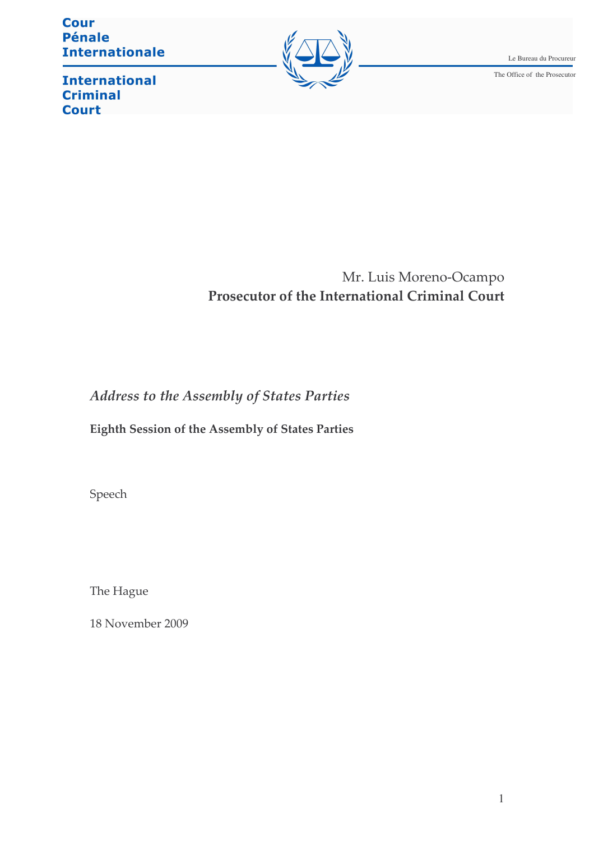**Cour Pénale Internationale** 



Le Bureau du Procureur

The Office of the Prosecutor

**International Criminal Court** 

# Mr. Luis Moreno-Ocampo Prosecutor of the International Criminal Court

Address to the Assembly of States Parties

**Eighth Session of the Assembly of States Parties** 

Speech

The Hague

18 November 2009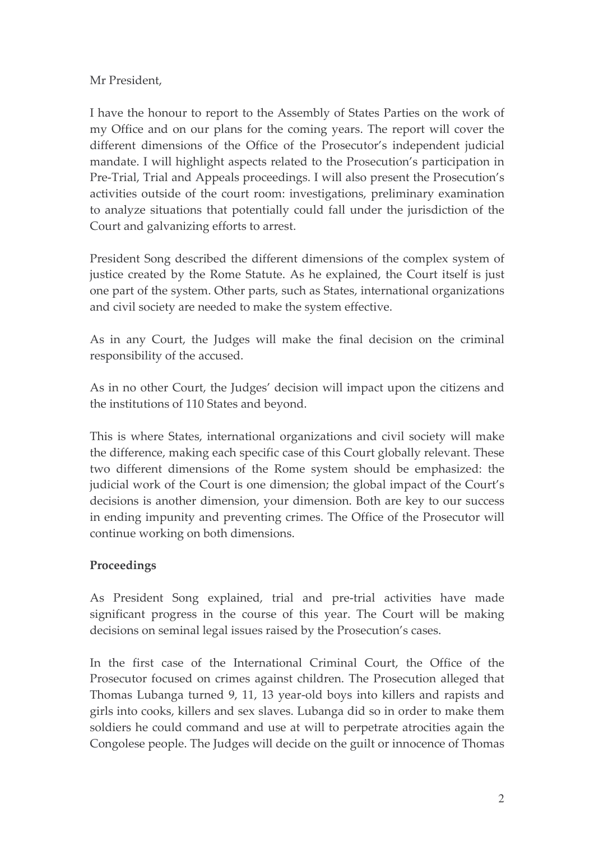#### Mr President,

I have the honour to report to the Assembly of States Parties on the work of my Office and on our plans for the coming years. The report will cover the different dimensions of the Office of the Prosecutor's independent judicial mandate. I will highlight aspects related to the Prosecution's participation in Pre-Trial, Trial and Appeals proceedings. I will also present the Prosecution's activities outside of the court room: investigations, preliminary examination to analyze situations that potentially could fall under the jurisdiction of the Court and galvanizing efforts to arrest.

President Song described the different dimensions of the complex system of justice created by the Rome Statute. As he explained, the Court itself is just one part of the system. Other parts, such as States, international organizations and civil society are needed to make the system effective.

As in any Court, the Judges will make the final decision on the criminal responsibility of the accused.

As in no other Court, the Judges' decision will impact upon the citizens and the institutions of 110 States and beyond.

This is where States, international organizations and civil society will make the difference, making each specific case of this Court globally relevant. These two different dimensions of the Rome system should be emphasized: the judicial work of the Court is one dimension; the global impact of the Court's decisions is another dimension, your dimension. Both are key to our success in ending impunity and preventing crimes. The Office of the Prosecutor will continue working on both dimensions.

#### Proceedings

As President Song explained, trial and pre-trial activities have made significant progress in the course of this year. The Court will be making decisions on seminal legal issues raised by the Prosecution's cases.

In the first case of the International Criminal Court, the Office of the Prosecutor focused on crimes against children. The Prosecution alleged that Thomas Lubanga turned 9, 11, 13 year-old boys into killers and rapists and girls into cooks, killers and sex slaves. Lubanga did so in order to make them soldiers he could command and use at will to perpetrate atrocities again the Congolese people. The Judges will decide on the guilt or innocence of Thomas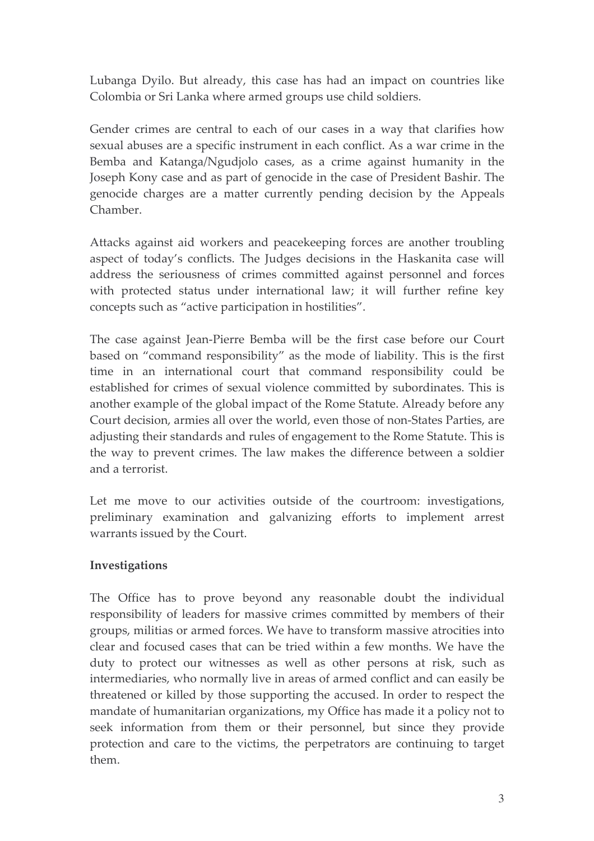Lubanga Dyilo. But already, this case has had an impact on countries like Colombia or Sri Lanka where armed groups use child soldiers.

Gender crimes are central to each of our cases in a way that clarifies how sexual abuses are a specific instrument in each conflict. As a war crime in the Bemba and Katanga/Ngudjolo cases, as a crime against humanity in the Joseph Kony case and as part of genocide in the case of President Bashir. The genocide charges are a matter currently pending decision by the Appeals Chamber.

Attacks against aid workers and peacekeeping forces are another troubling aspect of today's conflicts. The Judges decisions in the Haskanita case will address the seriousness of crimes committed against personnel and forces with protected status under international law; it will further refine key concepts such as "active participation in hostilities".

The case against Jean-Pierre Bemba will be the first case before our Court based on "command responsibility" as the mode of liability. This is the first time in an international court that command responsibility could be established for crimes of sexual violence committed by subordinates. This is another example of the global impact of the Rome Statute. Already before any Court decision, armies all over the world, even those of non-States Parties, are adjusting their standards and rules of engagement to the Rome Statute. This is the way to prevent crimes. The law makes the difference between a soldier and a terrorist

Let me move to our activities outside of the courtroom: investigations, preliminary examination and galvanizing efforts to implement arrest warrants issued by the Court.

#### Investigations

The Office has to prove beyond any reasonable doubt the individual responsibility of leaders for massive crimes committed by members of their groups, militias or armed forces. We have to transform massive atrocities into clear and focused cases that can be tried within a few months. We have the duty to protect our witnesses as well as other persons at risk, such as intermediaries, who normally live in areas of armed conflict and can easily be threatened or killed by those supporting the accused. In order to respect the mandate of humanitarian organizations, my Office has made it a policy not to seek information from them or their personnel, but since they provide protection and care to the victims, the perpetrators are continuing to target them.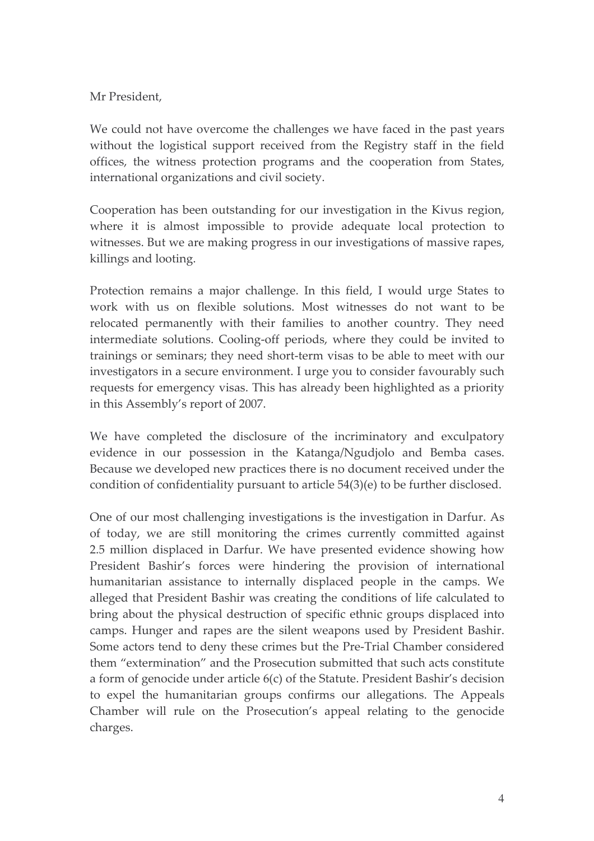#### Mr President,

We could not have overcome the challenges we have faced in the past years without the logistical support received from the Registry staff in the field offices, the witness protection programs and the cooperation from States, international organizations and civil society.

Cooperation has been outstanding for our investigation in the Kivus region, where it is almost impossible to provide adequate local protection to witnesses. But we are making progress in our investigations of massive rapes, killings and looting.

Protection remains a major challenge. In this field, I would urge States to work with us on flexible solutions. Most witnesses do not want to be relocated permanently with their families to another country. They need intermediate solutions. Cooling-off periods, where they could be invited to trainings or seminars; they need short-term visas to be able to meet with our investigators in a secure environment. I urge you to consider favourably such requests for emergency visas. This has already been highlighted as a priority in this Assembly's report of 2007.

We have completed the disclosure of the incriminatory and exculpatory evidence in our possession in the Katanga/Ngudjolo and Bemba cases. Because we developed new practices there is no document received under the condition of confidentiality pursuant to article 54(3)(e) to be further disclosed.

One of our most challenging investigations is the investigation in Darfur. As of today, we are still monitoring the crimes currently committed against 2.5 million displaced in Darfur. We have presented evidence showing how President Bashir's forces were hindering the provision of international humanitarian assistance to internally displaced people in the camps. We alleged that President Bashir was creating the conditions of life calculated to bring about the physical destruction of specific ethnic groups displaced into camps. Hunger and rapes are the silent weapons used by President Bashir. Some actors tend to deny these crimes but the Pre-Trial Chamber considered them "extermination" and the Prosecution submitted that such acts constitute a form of genocide under article 6(c) of the Statute. President Bashir's decision to expel the humanitarian groups confirms our allegations. The Appeals Chamber will rule on the Prosecution's appeal relating to the genocide charges.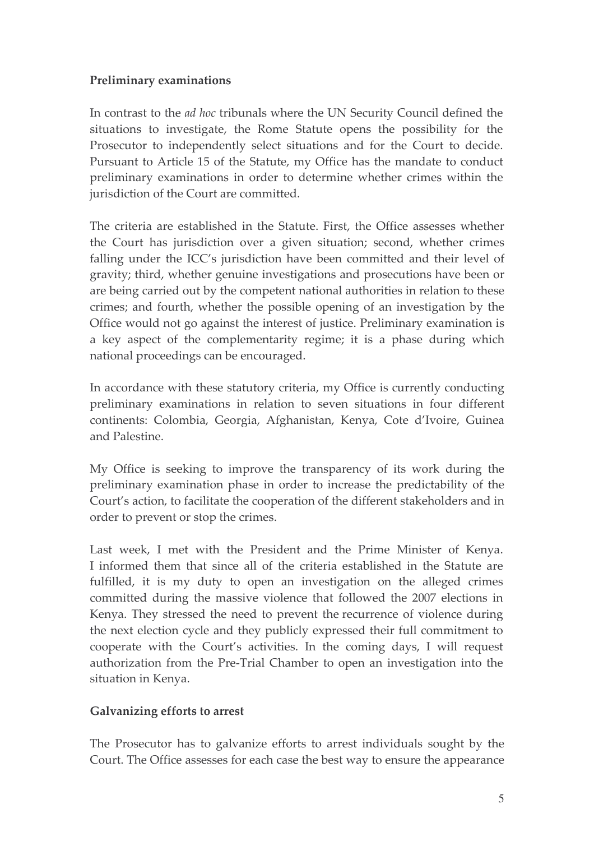### **Preliminary examinations**

In contrast to the *ad hoc* tribunals where the UN Security Council defined the situations to investigate, the Rome Statute opens the possibility for the Prosecutor to independently select situations and for the Court to decide. Pursuant to Article 15 of the Statute, my Office has the mandate to conduct preliminary examinations in order to determine whether crimes within the jurisdiction of the Court are committed.

The criteria are established in the Statute. First, the Office assesses whether the Court has jurisdiction over a given situation; second, whether crimes falling under the ICC's jurisdiction have been committed and their level of gravity; third, whether genuine investigations and prosecutions have been or are being carried out by the competent national authorities in relation to these crimes; and fourth, whether the possible opening of an investigation by the Office would not go against the interest of justice. Preliminary examination is a key aspect of the complementarity regime; it is a phase during which national proceedings can be encouraged.

In accordance with these statutory criteria, my Office is currently conducting preliminary examinations in relation to seven situations in four different continents: Colombia, Georgia, Afghanistan, Kenya, Cote d'Ivoire, Guinea and Palestine.

My Office is seeking to improve the transparency of its work during the preliminary examination phase in order to increase the predictability of the Court's action, to facilitate the cooperation of the different stakeholders and in order to prevent or stop the crimes.

Last week, I met with the President and the Prime Minister of Kenya. I informed them that since all of the criteria established in the Statute are fulfilled, it is my duty to open an investigation on the alleged crimes committed during the massive violence that followed the 2007 elections in Kenya. They stressed the need to prevent the recurrence of violence during the next election cycle and they publicly expressed their full commitment to cooperate with the Court's activities. In the coming days, I will request authorization from the Pre-Trial Chamber to open an investigation into the situation in Kenya.

## Galvanizing efforts to arrest

The Prosecutor has to galvanize efforts to arrest individuals sought by the Court. The Office assesses for each case the best way to ensure the appearance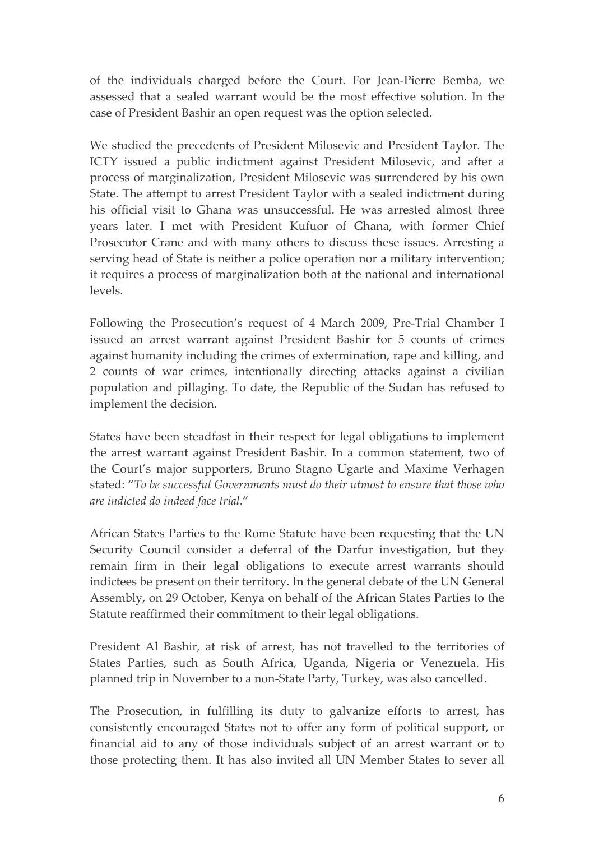of the individuals charged before the Court. For Jean-Pierre Bemba, we assessed that a sealed warrant would be the most effective solution. In the case of President Bashir an open request was the option selected.

We studied the precedents of President Milosevic and President Taylor. The ICTY issued a public indictment against President Milosevic, and after a process of marginalization, President Milosevic was surrendered by his own State. The attempt to arrest President Taylor with a sealed indictment during his official visit to Ghana was unsuccessful. He was arrested almost three years later. I met with President Kufuor of Ghana, with former Chief Prosecutor Crane and with many others to discuss these issues. Arresting a serving head of State is neither a police operation nor a military intervention; it requires a process of marginalization both at the national and international levels.

Following the Prosecution's request of 4 March 2009, Pre-Trial Chamber I issued an arrest warrant against President Bashir for 5 counts of crimes against humanity including the crimes of extermination, rape and killing, and 2 counts of war crimes, intentionally directing attacks against a civilian population and pillaging. To date, the Republic of the Sudan has refused to implement the decision.

States have been steadfast in their respect for legal obligations to implement the arrest warrant against President Bashir. In a common statement, two of the Court's major supporters, Bruno Stagno Ugarte and Maxime Verhagen stated: "To be successful Governments must do their utmost to ensure that those who are indicted do indeed face trial."

African States Parties to the Rome Statute have been requesting that the UN Security Council consider a deferral of the Darfur investigation, but they remain firm in their legal obligations to execute arrest warrants should indictees be present on their territory. In the general debate of the UN General Assembly, on 29 October, Kenya on behalf of the African States Parties to the Statute reaffirmed their commitment to their legal obligations.

President Al Bashir, at risk of arrest, has not travelled to the territories of States Parties, such as South Africa, Uganda, Nigeria or Venezuela. His planned trip in November to a non-State Party, Turkey, was also cancelled.

The Prosecution, in fulfilling its duty to galvanize efforts to arrest, has consistently encouraged States not to offer any form of political support, or financial aid to any of those individuals subject of an arrest warrant or to those protecting them. It has also invited all UN Member States to sever all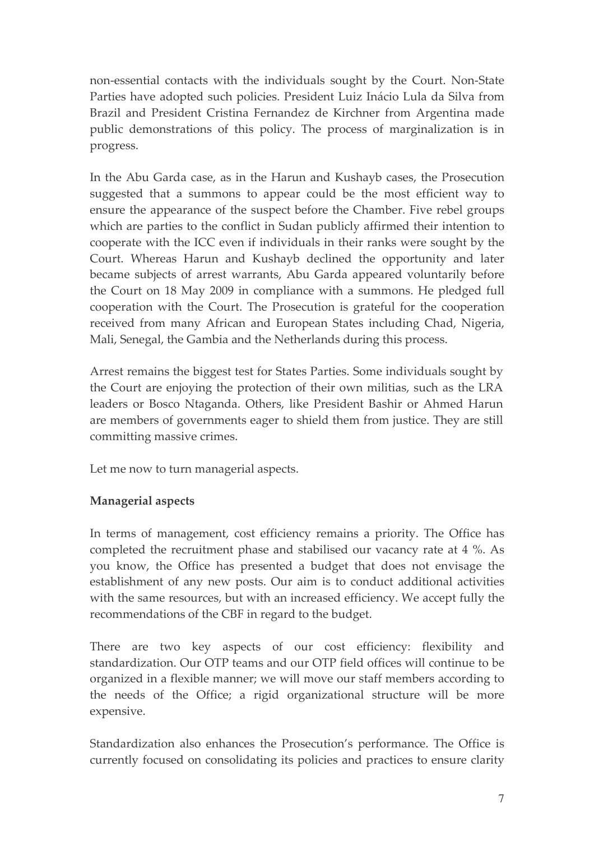non-essential contacts with the individuals sought by the Court. Non-State Parties have adopted such policies. President Luiz Inácio Lula da Silva from Brazil and President Cristina Fernandez de Kirchner from Argentina made public demonstrations of this policy. The process of marginalization is in progress.

In the Abu Garda case, as in the Harun and Kushayb cases, the Prosecution suggested that a summons to appear could be the most efficient way to ensure the appearance of the suspect before the Chamber. Five rebel groups which are parties to the conflict in Sudan publicly affirmed their intention to cooperate with the ICC even if individuals in their ranks were sought by the Court. Whereas Harun and Kushayb declined the opportunity and later became subjects of arrest warrants, Abu Garda appeared voluntarily before the Court on 18 May 2009 in compliance with a summons. He pledged full cooperation with the Court. The Prosecution is grateful for the cooperation received from many African and European States including Chad, Nigeria, Mali, Senegal, the Gambia and the Netherlands during this process.

Arrest remains the biggest test for States Parties. Some individuals sought by the Court are enjoying the protection of their own militias, such as the LRA leaders or Bosco Ntaganda. Others, like President Bashir or Ahmed Harun are members of governments eager to shield them from justice. They are still committing massive crimes.

Let me now to turn managerial aspects.

#### **Managerial aspects**

In terms of management, cost efficiency remains a priority. The Office has completed the recruitment phase and stabilised our vacancy rate at 4 %. As you know, the Office has presented a budget that does not envisage the establishment of any new posts. Our aim is to conduct additional activities with the same resources, but with an increased efficiency. We accept fully the recommendations of the CBF in regard to the budget.

There are two key aspects of our cost efficiency: flexibility and standardization. Our OTP teams and our OTP field offices will continue to be organized in a flexible manner; we will move our staff members according to the needs of the Office; a rigid organizational structure will be more expensive.

Standardization also enhances the Prosecution's performance. The Office is currently focused on consolidating its policies and practices to ensure clarity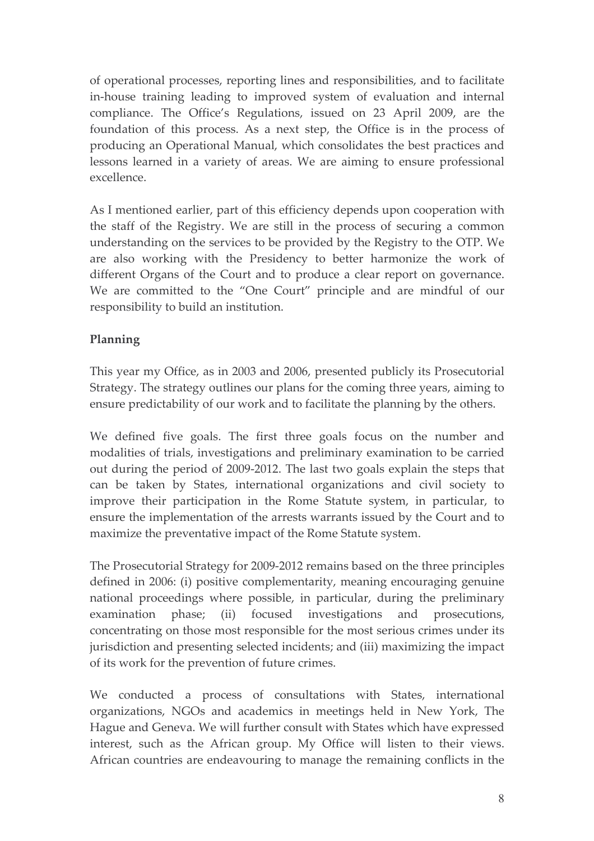of operational processes, reporting lines and responsibilities, and to facilitate in-house training leading to improved system of evaluation and internal compliance. The Office's Regulations, issued on 23 April 2009, are the foundation of this process. As a next step, the Office is in the process of producing an Operational Manual, which consolidates the best practices and lessons learned in a variety of areas. We are aiming to ensure professional excellence.

As I mentioned earlier, part of this efficiency depends upon cooperation with the staff of the Registry. We are still in the process of securing a common understanding on the services to be provided by the Registry to the OTP. We are also working with the Presidency to better harmonize the work of different Organs of the Court and to produce a clear report on governance. We are committed to the "One Court" principle and are mindful of our responsibility to build an institution.

#### Planning

This year my Office, as in 2003 and 2006, presented publicly its Prosecutorial Strategy. The strategy outlines our plans for the coming three years, aiming to ensure predictability of our work and to facilitate the planning by the others.

We defined five goals. The first three goals focus on the number and modalities of trials, investigations and preliminary examination to be carried out during the period of 2009-2012. The last two goals explain the steps that can be taken by States, international organizations and civil society to improve their participation in the Rome Statute system, in particular, to ensure the implementation of the arrests warrants issued by the Court and to maximize the preventative impact of the Rome Statute system.

The Prosecutorial Strategy for 2009-2012 remains based on the three principles defined in 2006: (i) positive complementarity, meaning encouraging genuine national proceedings where possible, in particular, during the preliminary examination phase; (ii) focused investigations prosecutions, and concentrating on those most responsible for the most serious crimes under its jurisdiction and presenting selected incidents; and (iii) maximizing the impact of its work for the prevention of future crimes.

We conducted a process of consultations with States, international organizations, NGOs and academics in meetings held in New York, The Hague and Geneva. We will further consult with States which have expressed interest, such as the African group. My Office will listen to their views. African countries are endeavouring to manage the remaining conflicts in the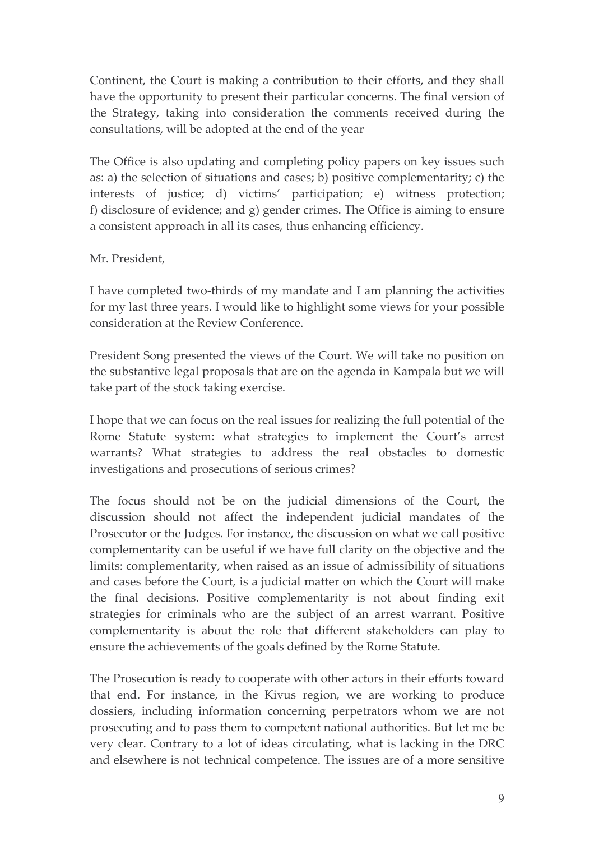Continent, the Court is making a contribution to their efforts, and they shall have the opportunity to present their particular concerns. The final version of the Strategy, taking into consideration the comments received during the consultations, will be adopted at the end of the year

The Office is also updating and completing policy papers on key issues such as: a) the selection of situations and cases; b) positive complementarity; c) the interests of justice; d) victims' participation; e) witness protection; f) disclosure of evidence; and g) gender crimes. The Office is aiming to ensure a consistent approach in all its cases, thus enhancing efficiency.

Mr. President.

I have completed two-thirds of my mandate and I am planning the activities for my last three years. I would like to highlight some views for your possible consideration at the Review Conference.

President Song presented the views of the Court. We will take no position on the substantive legal proposals that are on the agenda in Kampala but we will take part of the stock taking exercise.

I hope that we can focus on the real issues for realizing the full potential of the Rome Statute system: what strategies to implement the Court's arrest warrants? What strategies to address the real obstacles to domestic investigations and prosecutions of serious crimes?

The focus should not be on the judicial dimensions of the Court, the discussion should not affect the independent judicial mandates of the Prosecutor or the Judges. For instance, the discussion on what we call positive complementarity can be useful if we have full clarity on the objective and the limits: complementarity, when raised as an issue of admissibility of situations and cases before the Court, is a judicial matter on which the Court will make the final decisions. Positive complementarity is not about finding exit strategies for criminals who are the subject of an arrest warrant. Positive complementarity is about the role that different stakeholders can play to ensure the achievements of the goals defined by the Rome Statute.

The Prosecution is ready to cooperate with other actors in their efforts toward that end. For instance, in the Kivus region, we are working to produce dossiers, including information concerning perpetrators whom we are not prosecuting and to pass them to competent national authorities. But let me be very clear. Contrary to a lot of ideas circulating, what is lacking in the DRC and elsewhere is not technical competence. The issues are of a more sensitive